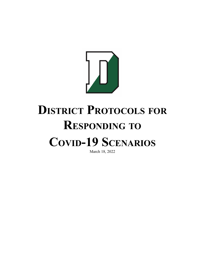

# **DISTRICT PROTOCOLS FOR RESPONDING TO COVID-19 SCENARIOS**

March 18, 2022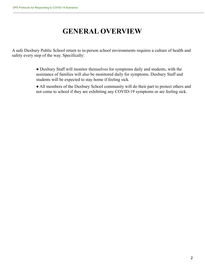## **GENERAL OVERVIEW**

A safe Duxbury Public School return to in-person school environments requires a culture of health and safety every step of the way. Specifically:

> ● Duxbury Staff will monitor themselves for symptoms daily and students, with the assistance of families will also be monitored daily for symptoms. Duxbury Staff and students will be expected to stay home if feeling sick.

• All members of the Duxbury School community will do their part to protect others and not come to school if they are exhibiting any COVID-19 symptoms or are feeling sick.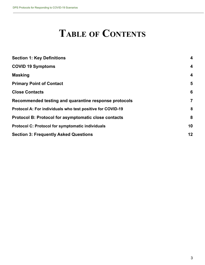## **TABLE OF CONTENTS**

| <b>Section 1: Key Definitions</b>                           | 4                       |
|-------------------------------------------------------------|-------------------------|
| <b>COVID 19 Symptoms</b>                                    | 4                       |
| <b>Masking</b>                                              | $\overline{\mathbf{4}}$ |
| <b>Primary Point of Contact</b>                             | 5                       |
| <b>Close Contacts</b>                                       | 6                       |
| Recommended testing and quarantine response protocols       | $\overline{7}$          |
| Protocol A: For individuals who test positive for COVID-19  | 8                       |
| <b>Protocol B: Protocol for asymptomatic close contacts</b> | 8                       |
| <b>Protocol C: Protocol for symptomatic individuals</b>     | 10                      |
| <b>Section 3: Frequently Asked Questions</b>                | 12                      |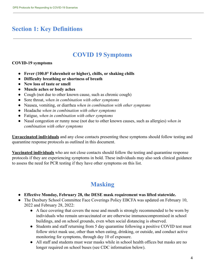## <span id="page-3-0"></span>**Section 1: Key Definitions**

#### **COVID 19 Symptoms**

#### <span id="page-3-1"></span>**COVID-19 symptoms**

- **● Fever (100.0° Fahrenheit or higher), chills, or shaking chills**
- **● Difficulty breathing or shortness of breath**
- **● New loss of taste or smell**
- **● Muscle aches or body aches**
- Cough (not due to other known cause, such as chronic cough)
- Sore throat, *when in combination with other symptoms*
- Nausea, vomiting, or diarrhea *when in combination with other symptoms*
- Headache *when in combination with other symptoms*
- Fatigue, *when in combination with other symptoms*
- Nasal congestion or runny nose (not due to other known causes, such as allergies) *when in combination with other symptoms*

**Unvaccinated individuals** and any close contacts presenting these symptoms should follow testing and quarantine response protocols as outlined in this document.

**Vaccinated individuals** who are not close contacts should follow the testing and quarantine response protocols if they are experiencing symptoms in bold. These individuals may also seek clinical guidance to assess the need for PCR testing if they have other symptoms on this list.

#### **Masking**

- <span id="page-3-2"></span>**● Effective Monday, February 28, the DESE mask requirement was lifted statewide.**
- The Duxbury School Committee Face Coverings Policy EBCFA was updated on February 10, 2022 and February 28, 2022:
	- A face covering that covers the nose and mouth is strongly recommended to be worn by individuals who remain unvaccinated or are otherwise immunocompromised in school buildings, and on school grounds, even when social distancing is observed.
	- Students and staff returning from 5 day quarantine following a positive COVID test must follow strict mask use, other than when eating, drinking, or outside, and conduct active monitoring for symptoms, through day 10 of exposure.
	- All staff and students must wear masks while in school health offices but masks are no longer required on school buses (see CDC information below).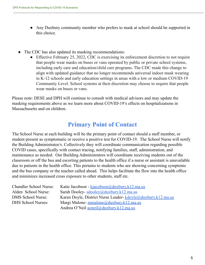- Any Duxbury community member who prefers to mask at school should be supported in this choice.
- The CDC has also updated its masking recommendations:
	- Effective February 25, 2022, CDC is exercising its enforcement discretion to not require that people wear masks on buses or vans operated by public or private school systems, including early care and education/child care programs. The CDC made this change to align with updated [guidance](https://www.cdc.gov/coronavirus/2019-ncov/science/community-levels.html) that no longer recommends universal indoor mask wearing in K-12 schools and early education settings in areas with a low or medium [COVID-19](https://www.cdc.gov/coronavirus/2019-ncov/your-health/covid-by-county.html) [Community](https://www.cdc.gov/coronavirus/2019-ncov/your-health/covid-by-county.html) Level. School systems at their discretion may choose to require that people wear masks on buses or vans.

Please note: DESE and DPH will continue to consult with medical advisors and may update the masking requirements above as we learn more about COVID-19's effects on hospitalizations in Massachusetts and on children.

#### **Primary Point of Contact**

<span id="page-4-0"></span>The School Nurse at each building will be the primary point of contact should a staff member, or student present as symptomatic or receive a positive test for COVID-19. The School Nurse will notify the Building Administrator/s. Collectively they will coordinate communication regarding possible COVID cases, specifically with contact tracing, notifying families, staff, administration, and maintenance as needed. Our Building Administrators will coordinate receiving students out of the classroom or off the bus and escorting patients to the health office if a nurse or assistant is unavailable due to patients in the health office. This pertains to students who are showing concerning symptoms and the bus company or the teacher called ahead. This helps facilitate the flow into the health office and minimizes increased cross exposure to other students, staff etc.

| <b>Chandler School Nurse:</b> | Katie Jacobson - kjacobson@duxbury.k12.ma.us                                                       |
|-------------------------------|----------------------------------------------------------------------------------------------------|
| Alden School Nurse:           | Sarah Dooley- $\frac{\text{sdooley}(a)\text{duxbury.k12} \cdot \text{ma.us}}{a\text{duxbury.k12}}$ |
| DMS School Nurse:             | Karen Doyle, District Nurse Leader- kdoyle@duxbury.k12.ma.us                                       |
| DHS School Nurses:            | Margi Malone-mmalone@duxbury.k12.ma.us                                                             |
|                               | Andrea O'Neil <u>aoneil@duxbury.k12.ma.us</u>                                                      |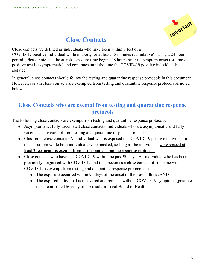

## **Close Contacts**

<span id="page-5-0"></span>Close contacts are defined as individuals who have been within 6 feet of a

COVID-19 positive individual while indoors, for at least 15 minutes (cumulative) during a 24-hour period. Please note that the at-risk exposure time begins 48 hours prior to symptom onset (or time of positive test if asymptomatic) and continues until the time the COVID-19 positive individual is isolated.

In general, close contacts should follow the testing and quarantine response protocols in this document. However, certain close contacts are exempted from testing and quarantine response protocols as noted below.

#### **Close Contacts who are exempt from testing and quarantine response protocols**

The following close contacts are exempt from testing and quarantine response protocols:

- Asymptomatic, fully vaccinated close contacts: Individuals who are asymptomatic and fully vaccinated are exempt from testing and quarantine response protocols.
- Classroom close contacts: An individual who is exposed to a COVID-19 positive individual in the classroom while both individuals were masked, so long as the individuals were spaced at least 3 feet apart, is exempt from testing and quarantine response protocols.
- Close contacts who have had COVID-19 within the past 90 days: An individual who has been previously diagnosed with COVID-19 and then becomes a close contact of someone with COVID-19 is exempt from testing and quarantine response protocols if:
	- The exposure occurred within 90 days of the onset of their own illness AND
	- The exposed individual is recovered and remains without COVID-19 symptoms (positive result confirmed by copy of lab result or Local Board of Health.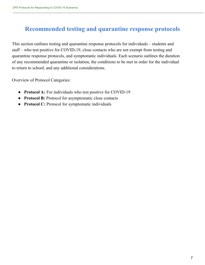#### <span id="page-6-0"></span>**Recommended testing and quarantine response protocols**

This section outlines testing and quarantine response protocols for individuals – students and staff – who test positive for COVID-19, close contacts who are not exempt from testing and quarantine response protocols, and symptomatic individuals. Each scenario outlines the duration of any recommended quarantine or isolation, the conditions to be met in order for the individual to return to school, and any additional considerations.

Overview of Protocol Categories:

- **Protocol A:** For individuals who test positive for COVID-19
- **Protocol B:** Protocol for asymptomatic close contacts
- **Protocol C:** Protocol for symptomatic individuals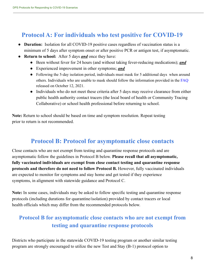#### <span id="page-7-0"></span>**Protocol A: For individuals who test positive for COVID-19**

- **Duration:** Isolation for all COVID-19 positive cases regardless of vaccination status is a minimum of 5 days after symptom onset or after positive PCR or antigen test, if asymptomatic.
- **Return to school:** After 5 days *and* once they have:
	- Been without fever for 24 hours (and without taking fever-reducing medications); *and*
	- Experienced improvement in other symptoms; *and*
	- Following the 5-day isolation period, individuals must mask for 5 additional days when around others. Individuals who are unable to mask should follow the information provided in the FAQ released on October 12, 2021.
	- Individuals who do not meet these criteria after 5 days may receive clearance from either public health authority contact tracers (the local board of health or Community Tracing Collaborative) or school health professional before returning to school.

**Note:** Return to school should be based on time and symptom resolution. Repeat testing prior to return is not recommended.

#### **Protocol B: Protocol for asymptomatic close contacts**

<span id="page-7-1"></span>Close contacts who are not exempt from testing and quarantine response protocols and are asymptomatic follow the guidelines in Protocol B below. **Please recall that all asymptomatic, fully vaccinated individuals are exempt from close contact testing and quarantine response protocols and therefore do not need to follow Protocol B.** However, fully vaccinated individuals are expected to monitor for symptoms and stay home and get tested if they experience symptoms, in alignment with statewide guidance and Protocol C.

**Note:** In some cases, individuals may be asked to follow specific testing and quarantine response protocols (including durations for quarantine/isolation) provided by contact tracers or local health officials which may differ from the recommended protocols below.

#### **Protocol B for asymptomatic close contacts who are not exempt from testing and quarantine response protocols**

Districts who participate in the statewide COVID-19 testing program or another similar testing program are strongly encouraged to utilize the new Test and Stay (B-1) protocol option to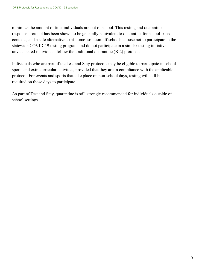minimize the amount of time individuals are out of school. This testing and quarantine response protocol has been shown to be generally equivalent to quarantine for school-based contacts, and a safe alternative to at-home isolation. If schools choose not to participate in the statewide COVID-19 testing program and do not participate in a similar testing initiative, unvaccinated individuals follow the traditional quarantine (B-2) protocol.

Individuals who are part of the Test and Stay protocols may be eligible to participate in school sports and extracurricular activities, provided that they are in compliance with the applicable protocol. For events and sports that take place on non-school days, testing will still be required on those days to participate.

As part of Test and Stay, quarantine is still strongly recommended for individuals outside of school settings.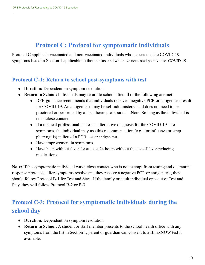## **Protocol C: Protocol for symptomatic individuals**

<span id="page-9-0"></span>Protocol C applies to vaccinated and non-vaccinated individuals who experience the COVID-19 symptoms listed in Section 1 applicable to their status. and who have not tested positive for COVID-19.

#### **Protocol C-1: Return to school post-symptoms with test**

- **Duration:** Dependent on symptom resolution
- **Return to School:** Individuals may return to school after all of the following are met:
	- DPH guidance recommends that individuals receive a negative PCR or antigen test result for COVID-19. An antigen test may be self-administered and does not need to be proctored or performed by a healthcare professional. Note: So long as the individual is not a close contact.
	- If a medical professional makes an alternative diagnosis for the COVID-19-like symptoms, the individual may use this recommendation (e.g., for influenza or strep pharyngitis) in lieu of a PCR test or antigen test.
	- Have improvement in symptoms.
	- Have been without fever for at least 24 hours without the use of fever-reducing medications.

**Note:** If the symptomatic individual was a close contact who is not exempt from testing and quarantine response protocols, after symptoms resolve and they receive a negative PCR or antigen test, they should follow Protocol B-1 for Test and Stay. If the family or adult individual opts out of Test and Stay, they will follow Protocol B-2 or B-3.

## **Protocol C-3: Protocol for symptomatic individuals during the school day**

- **Duration:** Dependent on symptom resolution
- **Return to School:** A student or staff member presents to the school health office with any symptoms from the list in Section 1, parent or guardian can consent to a BinaxNOW test if available.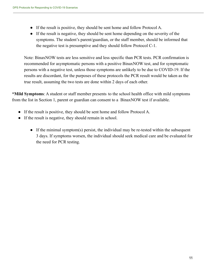- If the result is positive, they should be sent home and follow Protocol A.
- If the result is negative, they should be sent home depending on the severity of the symptoms. The student's parent/guardian, or the staff member, should be informed that the negative test is presumptive and they should follow Protocol C-1.

Note: BinaxNOW tests are less sensitive and less specific than PCR tests. PCR confirmation is recommended for asymptomatic persons with a positive BinaxNOW test, and for symptomatic persons with a negative test, unless those symptoms are unlikely to be due to COVID-19. If the results are discordant, for the purposes of these protocols the PCR result would be taken as the true result, assuming the two tests are done within 2 days of each other.

**\*Mild Symptoms**: A student or staff member presents to the school health office with mild symptoms from the list in Section 1, parent or guardian can consent to a BinaxNOW test if available.

- If the result is positive, they should be sent home and follow Protocol A.
- If the result is negative, they should remain in school.
	- If the minimal symptom(s) persist, the individual may be re-tested within the subsequent 3 days. If symptoms worsen, the individual should seek medical care and be evaluated for the need for PCR testing.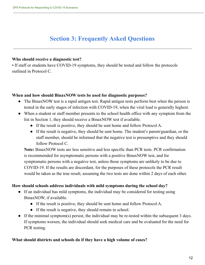## **Section 3: Frequently Asked Questions**

#### <span id="page-11-0"></span>**Who should receive a diagnostic test?**

• If staff or students have COVID-19 symptoms, they should be tested and follow the protocols outlined in Protocol C.

#### **When and how should BinaxNOW tests be used for diagnostic purposes?**

- The BinaxNOW test is a rapid antigen test. Rapid antigen tests perform best when the person is tested in the early stages of infection with COVID-19, when the viral load is generally highest.
- When a student or staff member presents to the school health office with any symptom from the list in Section 1, they should receive a BinaxNOW test if available.
	- If the result is positive, they should be sent home and follow Protocol A.
	- If the result is negative, they should be sent home. The student's parent/guardian, or the staff member, should be informed that the negative test is presumptive and they should follow Protocol C.

**Note:** BinaxNOW tests are less sensitive and less specific than PCR tests. PCR confirmation is recommended for asymptomatic persons with a positive BinaxNOW test, and for symptomatic persons with a negative test, unless those symptoms are unlikely to be due to COVID-19. If the results are discordant, for the purposes of these protocols the PCR result would be taken as the true result, assuming the two tests are done within 2 days of each other.

#### **How should schools address individuals with mild symptoms during the school day?**

- If an individual has mild symptoms, the individual may be considered for testing using BinaxNOW, if available.
	- If the result is positive, they should be sent home and follow Protocol A.
	- If the result is negative, they should remain in school.
- If the minimal symptom(s) persist, the individual may be re-tested within the subsequent 3 days. If symptoms worsen, the individual should seek medical care and be evaluated for the need for PCR testing.

#### **What should districts and schools do if they have a high volume of cases?**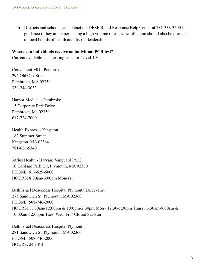● Districts and schools can contact the DESE Rapid Response Help Center at 781-338-3500 for guidance if they are experiencing a high volume of cases. Notification should also be provided to local boards of health and district leadership.

#### **Where can individuals receive an individual PCR test?**

Current available local testing sites for Covid-19:

Convenient MD - Pembroke 296 Old Oak Street Pembroke, MA 02359 339-244-3033

Harbor Medical - Pembroke 15 Corporate Park Drive Pembroke, Ma 02359 617-724-7000

Health Express - Kingston 182 Summer Street Kingston, MA 02364 781-626-5340

Atrius Health - Harvard Vanguard PMG 10 Cordage Park Cir, Plymouth, MA 02360 PHONE: 617-629-6000 HOURS: 8:00am-6:00pm Mon-Fri

Beth Israel Deaconess Hospital Plymouth Drive-Thru 275 Sandwich St, Plymouth, MA 02360 PHONE: 508-746-2000 HOURS: 11:00am-12:00pm & 1:00pm-2:30pm Mon / 12:30-1:30pm Thurs / 6:30am-9:00am & 10:00am-12:00pm Tues, Wed, Fri / Closed Sat-Sun

Beth Israel Deaconess Hospital Plymouth 281 Sandwich St, Plymouth, MA 02360 PHONE: 508-746-2000 HOURS: 24 HRS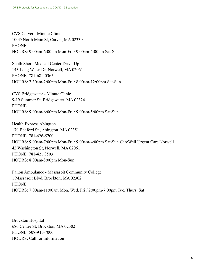CVS Carver - Minute Clinic 100D North Main St, Carver, MA 02330 PHONE: HOURS: 9:00am-6:00pm Mon-Fri / 9:00am-5:00pm Sat-Sun

South Shore Medical Center Drive-Up 143 Long Water Dr, Norwell, MA 02061 PHONE: 781-681-0365 HOURS: 7:30am-2:00pm Mon-Fri / 8:00am-12:00pm Sat-Sun

CVS Bridgewater - Minute Clinic 9-19 Summer St, Bridgewater, MA 02324 PHONE: HOURS: 9:00am-6:00pm Mon-Fri / 9:00am-5:00pm Sat-Sun

Health Express Abington 170 Bedford St., Abington, MA 02351 PHONE: 781-626-5700 HOURS: 9:00am-7:00pm Mon-Fri / 9:00am-4:00pm Sat-Sun CareWell Urgent Care Norwell 42 Washington St, Norwell, MA 02061 PHONE: 781-421 3503 HOURS: 8:00am-8:00pm Mon-Sun

Fallon Ambulance - Massasoit Community College 1 Massasoit Blvd, Brockton, MA 02302 PHONE: HOURS: 7:00am-11:00am Mon, Wed, Fri / 2:00pm-7:00pm Tue, Thurs, Sat

Brockton Hospital 680 Centre St, Brockton, MA 02302 PHONE: 508-941-7000 HOURS: Call for information